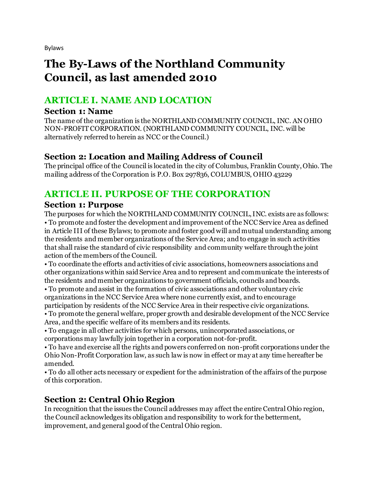Bylaws

# **The By-Laws of the Northland Community Council, as last amended 2010**

# **ARTICLE I. NAME AND LOCATION**

### **Section 1: Name**

The name of the organization is the NORTHLAND COMMUNITY COUNCIL, INC. AN OHIO NON-PROFIT CORPORATION. (NORTHLAND COMMUNITY COUNCIL, INC. will be alternatively referred to herein as NCC or the Council.)

# **Section 2: Location and Mailing Address of Council**

The principal office of the Council is located in the city of Columbus, Franklin County, Ohio. The mailing address of the Corporation is P.O. Box 297836, COLUMBUS, OHIO 43229

# **ARTICLE II. PURPOSE OF THE CORPORATION**

## **Section 1: Purpose**

The purposes for which the NORTHLAND COMMUNITY COUNCIL, INC. exists are as follows: • To promote and foster the development and improvement of the NCC Service Area as defined in Article III of these Bylaws; to promote and foster good will and mutual understanding among the residents and member organizations of the Service Area; and to engage in such activities that shall raise the standard of civic responsibility and community welfare through the joint action of the members of the Council.

• To coordinate the efforts and activities of civic associations, homeowners associations and other organizations within said Service Area and to represent and communicate the interests of the residents and member organizations to government officials, councils and boards.

• To promote and assist in the formation of civic associations and other voluntary civic organizations in the NCC Service Area where none currently exist, and to encourage participation by residents of the NCC Service Area in their respective civic organizations.

• To promote the general welfare, proper growth and desirable development of the NCC Service Area, and the specific welfare of its members and its residents.

• To engage in all other activities for which persons, unincorporated associations, or corporations may lawfully join together in a corporation not-for-profit.

• To have and exercise all the rights and powers conferred on non-profit corporations under the Ohio Non-Profit Corporation law, as such law is now in effect or may at any time hereafter be amended.

• To do all other acts necessary or expedient for the administration of the affairs of the purpose of this corporation.

# **Section 2: Central Ohio Region**

In recognition that the issues the Council addresses may affect the entire Central Ohio region, the Council acknowledges its obligation and responsibility to work for the betterment, improvement, and general good of the Central Ohio region.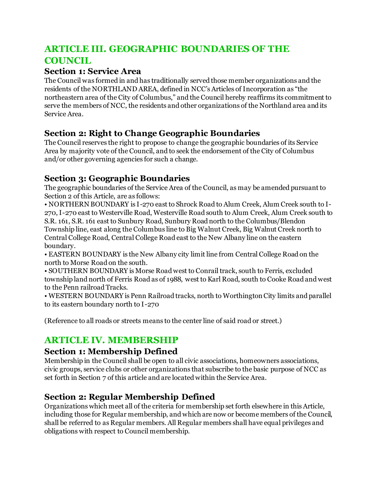# **ARTICLE III. GEOGRAPHIC BOUNDARIES OF THE COUNCIL**

#### **Section 1: Service Area**

The Council was formed in and has traditionally served those member organizations and the residents of the NORTHLAND AREA, defined in NCC's Articles of Incorporation as "the northeastern area of the City of Columbus," and the Council hereby reaffirms its commitment to serve the members of NCC, the residents and other organizations of the Northland area and its Service Area.

# **Section 2: Right to Change Geographic Boundaries**

The Council reserves the right to propose to change the geographic boundaries of its Service Area by majority vote of the Council, and to seek the endorsement of the City of Columbus and/or other governing agencies for such a change.

# **Section 3: Geographic Boundaries**

The geographic boundaries of the Service Area of the Council, as may be amended pursuant to Section 2 of this Article, are as follows:

• NORTHERN BOUNDARY is I-270 east to Shrock Road to Alum Creek, Alum Creek south to I-270, I-270 east to Westerville Road, Westerville Road south to Alum Creek, Alum Creek south to S.R. 161, S.R. 161 east to Sunbury Road, Sunbury Road north to the Columbus/Blendon Township line, east along the Columbus line to Big Walnut Creek, Big Walnut Creek north to Central College Road, Central College Road east to the New Albany line on the eastern boundary.

• EASTERN BOUNDARY is the New Albany city limit line from Central College Road on the north to Morse Road on the south.

• SOUTHERN BOUNDARY is Morse Road west to Conrail track, south to Ferris, excluded township land north of Ferris Road as of 1988, west to Karl Road, south to Cooke Road and west to the Penn railroad Tracks.

• WESTERN BOUNDARY is Penn Railroad tracks, north to Worthington City limits and parallel to its eastern boundary north to I-270

(Reference to all roads or streets means to the center line of said road or street.)

# **ARTICLE IV. MEMBERSHIP**

### **Section 1: Membership Defined**

Membership in the Council shall be open to all civic associations, homeowners associations, civic groups, service clubs or other organizations that subscribe to the basic purpose of NCC as set forth in Section 7 of this article and are located within the Service Area.

# **Section 2: Regular Membership Defined**

Organizations which meet all of the criteria for membership set forth elsewhere in this Article, including those for Regular membership, and which are now or become members of the Council, shall be referred to as Regular members. All Regular members shall have equal privileges and obligations with respect to Council membership.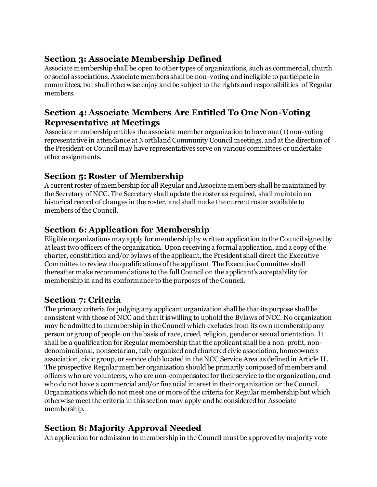## **Section 3: Associate Membership Defined**

Associate membership shall be open to other types of organizations, such as commercial, church or social associations. Associate members shall be non-voting and ineligible to participate in committees, but shall otherwise enjoy and be subject to the rights and responsibilities of Regular members.

### **Section 4: Associate Members Are Entitled To One Non-Voting Representative at Meetings**

Associate membership entitles the associate member organization to have one (1) non-voting representative in attendance at Northland Community Council meetings, and at the direction of the President or Council may have representatives serve on various committees or undertake other assignments.

## **Section 5: Roster of Membership**

A current roster of membership for all Regular and Associate members shall be maintained by the Secretary of NCC. The Secretary shall update the roster as required, shall maintain an historical record of changes in the roster, and shall make the current roster available to members of the Council.

## **Section 6: Application for Membership**

Eligible organizations may apply for membership by written application to the Council signed by at least two officers of the organization. Upon receiving a formal application, and a copy of the charter, constitution and/or bylaws of the applicant, the President shall direct the Executive Committee to review the qualifications of the applicant. The Executive Committee shall thereafter make recommendations to the full Council on the applicant's acceptability for membership in and its conformance to the purposes of the Council.

### **Section 7: Criteria**

The primary criteria for judging any applicant organization shall be that its purpose shall be consistent with those of NCC and that it is willing to uphold the Bylaws of NCC. No organization may be admitted to membership in the Council which excludes from its own membership any person or group of people on the basis of race, creed, religion, gender or sexual orientation. It shall be a qualification for Regular membership that the applicant shall be a non-profit, nondenominational, nonsectarian, fully organized and chartered civic association, homeowners association, civic group, or service club located in the NCC Service Area as defined in Article II. The prospective Regular member organization should be primarily composed of members and officers who are volunteers, who are non-compensated for their service to the organization, and who do not have a commercial and/or financial interest in their organization or the Council. Organizations which do not meet one or more of the criteria for Regular membership but which otherwise meet the criteria in this section may apply and be considered for Associate membership.

### **Section 8: Majority Approval Needed**

An application for admission to membership in the Council must be approved by majority vote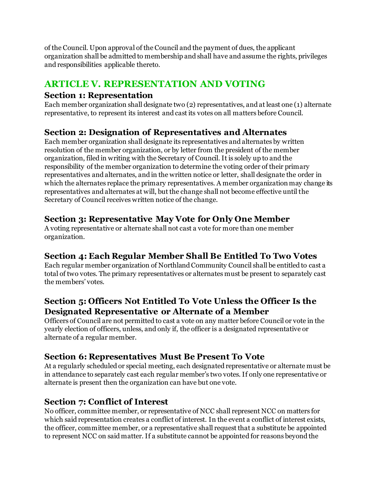of the Council. Upon approval of the Council and the payment of dues, the applicant organization shall be admitted to membership and shall have and assume the rights, privileges and responsibilities applicable thereto.

# **ARTICLE V. REPRESENTATION AND VOTING**

## **Section 1: Representation**

Each member organization shall designate two (2) representatives, and at least one (1) alternate representative, to represent its interest and cast its votes on all matters before Council.

# **Section 2: Designation of Representatives and Alternates**

Each member organization shall designate its representatives and alternates by written resolution of the member organization, or by letter from the president of the member organization, filed in writing with the Secretary of Council. It is solely up to and the responsibility of the member organization to determine the voting order of their primary representatives and alternates, and in the written notice or letter, shall designate the order in which the alternates replace the primary representatives. A member organization may change its representatives and alternates at will, but the change shall not become effective until the Secretary of Council receives written notice of the change.

# **Section 3: Representative May Vote for Only One Member**

A voting representative or alternate shall not cast a vote for more than one member organization.

# **Section 4: Each Regular Member Shall Be Entitled To Two Votes**

Each regular member organization of Northland Community Council shall be entitled to cast a total of two votes. The primary representatives or alternates must be present to separately cast the members' votes.

# **Section 5: Officers Not Entitled To Vote Unless the Officer Is the Designated Representative or Alternate of a Member**

Officers of Council are not permitted to cast a vote on any matter before Council or vote in the yearly election of officers, unless, and only if, the officer is a designated representative or alternate of a regular member.

# **Section 6: Representatives Must Be Present To Vote**

At a regularly scheduled or special meeting, each designated representative or alternate must be in attendance to separately cast each regular member's two votes. If only one representative or alternate is present then the organization can have but one vote.

# **Section 7: Conflict of Interest**

No officer, committee member, or representative of NCC shall represent NCC on matters for which said representation creates a conflict of interest. In the event a conflict of interest exists, the officer, committee member, or a representative shall request that a substitute be appointed to represent NCC on said matter. If a substitute cannot be appointed for reasons beyond the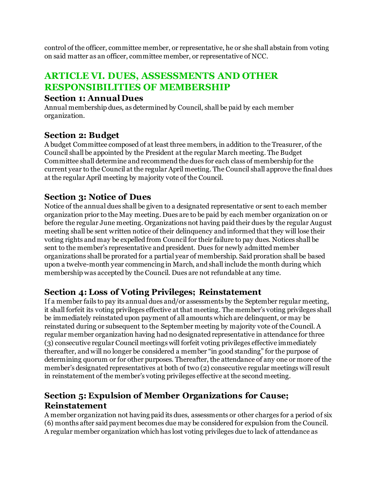control of the officer, committee member, or representative, he or she shall abstain from voting on said matter as an officer, committee member, or representative of NCC.

# **ARTICLE VI. DUES, ASSESSMENTS AND OTHER RESPONSIBILITIES OF MEMBERSHIP**

#### **Section 1: Annual Dues**

Annual membership dues, as determined by Council, shall be paid by each member organization.

### **Section 2: Budget**

A budget Committee composed of at least three members, in addition to the Treasurer, of the Council shall be appointed by the President at the regular March meeting. The Budget Committee shall determine and recommend the dues for each class of membership for the current year to the Council at the regular April meeting. The Council shall approve the final dues at the regular April meeting by majority vote of the Council.

### **Section 3: Notice of Dues**

Notice of the annual dues shall be given to a designated representative or sent to each member organization prior to the May meeting. Dues are to be paid by each member organization on or before the regular June meeting. Organizations not having paid their dues by the regular August meeting shall be sent written notice of their delinquency and informed that they will lose their voting rights and may be expelled from Council for their failure to pay dues. Notices shall be sent to the member's representative and president. Dues for newly admitted member organizations shall be prorated for a partial year of membership. Said proration shall be based upon a twelve-month year commencing in March, and shall include the month during which membership was accepted by the Council. Dues are not refundable at any time.

### **Section 4: Loss of Voting Privileges; Reinstatement**

If a member fails to pay its annual dues and/or assessments by the September regular meeting, it shall forfeit its voting privileges effective at that meeting. The member's voting privileges shall be immediately reinstated upon payment of all amounts which are delinquent, or may be reinstated during or subsequent to the September meeting by majority vote of the Council. A regular member organization having had no designated representative in attendance for three (3) consecutive regular Council meetings will forfeit voting privileges effective immediately thereafter, and will no longer be considered a member "in good standing" for the purpose of determining quorum or for other purposes. Thereafter, the attendance of any one or more of the member's designated representatives at both of two (2) consecutive regular meetings will result in reinstatement of the member's voting privileges effective at the second meeting.

# **Section 5: Expulsion of Member Organizations for Cause; Reinstatement**

A member organization not having paid its dues, assessments or other charges for a period of six (6) months after said payment becomes due may be considered for expulsion from the Council. A regular member organization which has lost voting privileges due to lack of attendance as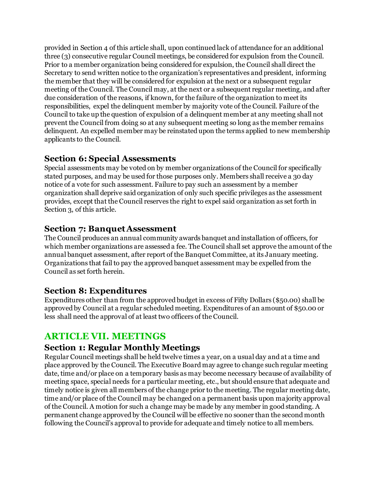provided in Section 4 of this article shall, upon continued lack of attendance for an additional three (3) consecutive regular Council meetings, be considered for expulsion from the Council. Prior to a member organization being considered for expulsion, the Council shall direct the Secretary to send written notice to the organization's representatives and president, informing the member that they will be considered for expulsion at the next or a subsequent regular meeting of the Council. The Council may, at the next or a subsequent regular meeting, and after due consideration of the reasons, if known, for the failure of the organization to meet its responsibilities, expel the delinquent member by majority vote of the Council. Failure of the Council to take up the question of expulsion of a delinquent member at any meeting shall not prevent the Council from doing so at any subsequent meeting so long as the member remains delinquent. An expelled member may be reinstated upon the terms applied to new membership applicants to the Council.

## **Section 6: Special Assessments**

Special assessments may be voted on by member organizations of the Council for specifically stated purposes, and may be used for those purposes only. Members shall receive a 30 day notice of a vote for such assessment. Failure to pay such an assessment by a member organization shall deprive said organization of only such specific privileges as the assessment provides, except that the Council reserves the right to expel said organization as set forth in Section 3, of this article.

### **Section 7: Banquet Assessment**

The Council produces an annual community awards banquet and installation of officers, for which member organizations are assessed a fee. The Council shall set approve the amount of the annual banquet assessment, after report of the Banquet Committee, at its January meeting. Organizations that fail to pay the approved banquet assessment may be expelled from the Council as set forth herein.

### **Section 8: Expenditures**

Expenditures other than from the approved budget in excess of Fifty Dollars (\$50.00) shall be approved by Council at a regular scheduled meeting. Expenditures of an amount of \$50.00 or less shall need the approval of at least two officers of the Council.

# **ARTICLE VII. MEETINGS**

### **Section 1: Regular Monthly Meetings**

Regular Council meetings shall be held twelve times a year, on a usual day and at a time and place approved by the Council. The Executive Board may agree to change such regular meeting date, time and/or place on a temporary basis as may become necessary because of availability of meeting space, special needs for a particular meeting, etc., but should ensure that adequate and timely notice is given all members of the change prior to the meeting. The regular meeting date, time and/or place of the Council may be changed on a permanent basis upon majority approval of the Council. A motion for such a change may be made by any member in good standing. A permanent change approved by the Council will be effective no sooner than the second month following the Council's approval to provide for adequate and timely notice to all members.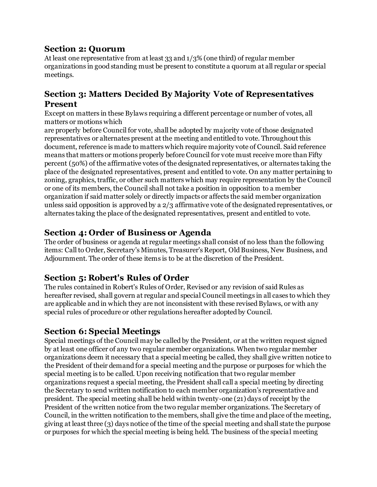#### **Section 2: Quorum**

At least one representative from at least 33 and 1/3% (one third) of regular member organizations in good standing must be present to constitute a quorum at all regular or special meetings.

## **Section 3: Matters Decided By Majority Vote of Representatives Present**

Except on matters in these Bylaws requiring a different percentage or number of votes, all matters or motions which

are properly before Council for vote, shall be adopted by majority vote of those designated representatives or alternates present at the meeting and entitled to vote. Throughout this document, reference is made to matters which require majority vote of Council. Said reference means that matters or motions properly before Council for vote must receive more than Fifty percent (50%) of the affirmative votes of the designated representatives, or alternates taking the place of the designated representatives, present and entitled to vote. On any matter pertaining to zoning, graphics, traffic, or other such matters which may require representation by the Council or one of its members, the Council shall not take a position in opposition to a member organization if said matter solely or directly impacts or affects the said member organization unless said opposition is approved by a 2/3 affirmative vote of the designated representatives, or alternates taking the place of the designated representatives, present and entitled to vote.

# **Section 4: Order of Business or Agenda**

The order of business or agenda at regular meetings shall consist of no less than the following items: Call to Order, Secretary's Minutes, Treasurer's Report, Old Business, New Business, and Adjournment. The order of these items is to be at the discretion of the President.

# **Section 5: Robert's Rules of Order**

The rules contained in Robert's Rules of Order, Revised or any revision of said Rules as hereafter revised, shall govern at regular and special Council meetings in all cases to which they are applicable and in which they are not inconsistent with these revised Bylaws, or with any special rules of procedure or other regulations hereafter adopted by Council.

# **Section 6: Special Meetings**

Special meetings of the Council may be called by the President, or at the written request signed by at least one officer of any two regular member organizations. When two regular member organizations deem it necessary that a special meeting be called, they shall give written notice to the President of their demand for a special meeting and the purpose or purposes for which the special meeting is to be called. Upon receiving notification that two regular member organizations request a special meeting, the President shall call a special meeting by directing the Secretary to send written notification to each member organization's representative and president. The special meeting shall be held within twenty-one (21) days of receipt by the President of the written notice from the two regular member organizations. The Secretary of Council, in the written notification to the members, shall give the time and place of the meeting, giving at least three (3) days notice of the time of the special meeting and shall state the purpose or purposes for which the special meeting is being held. The business of the special meeting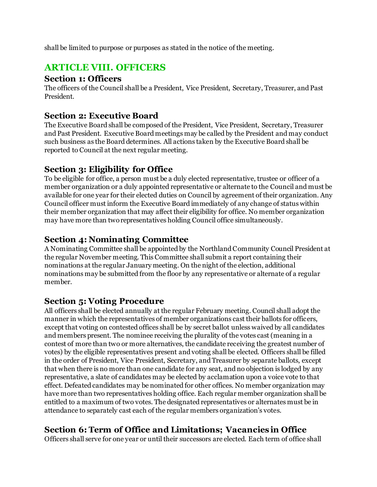shall be limited to purpose or purposes as stated in the notice of the meeting.

# **ARTICLE VIII. OFFICERS**

#### **Section 1: Officers**

The officers of the Council shall be a President, Vice President, Secretary, Treasurer, and Past President.

### **Section 2: Executive Board**

The Executive Board shall be composed of the President, Vice President, Secretary, Treasurer and Past President. Executive Board meetings may be called by the President and may conduct such business as the Board determines. All actions taken by the Executive Board shall be reported to Council at the next regular meeting.

## **Section 3: Eligibility for Office**

To be eligible for office, a person must be a duly elected representative, trustee or officer of a member organization or a duly appointed representative or alternate to the Council and must be available for one year for their elected duties on Council by agreement of their organization. Any Council officer must inform the Executive Board immediately of any change of status within their member organization that may affect their eligibility for office. No member organization may have more than two representatives holding Council office simultaneously.

## **Section 4: Nominating Committee**

A Nominating Committee shall be appointed by the Northland Community Council President at the regular November meeting. This Committee shall submit a report containing their nominations at the regular January meeting. On the night of the election, additional nominations may be submitted from the floor by any representative or alternate of a regular member.

### **Section 5: Voting Procedure**

All officers shall be elected annually at the regular February meeting. Council shall adopt the manner in which the representatives of member organizations cast their ballots for officers, except that voting on contested offices shall be by secret ballot unless waived by all candidates and members present. The nominee receiving the plurality of the votes cast (meaning in a contest of more than two or more alternatives, the candidate receiving the greatest number of votes) by the eligible representatives present and voting shall be elected. Officers shall be filled in the order of President, Vice President, Secretary, and Treasurer by separate ballots, except that when there is no more than one candidate for any seat, and no objection is lodged by any representative, a slate of candidates may be elected by acclamation upon a voice vote to that effect. Defeated candidates may be nominated for other offices. No member organization may have more than two representatives holding office. Each regular member organization shall be entitled to a maximum of two votes. The designated representatives or alternates must be in attendance to separately cast each of the regular members organization's votes.

# **Section 6: Term of Office and Limitations; Vacancies in Office**

Officers shall serve for one year or until their successors are elected. Each term of office shall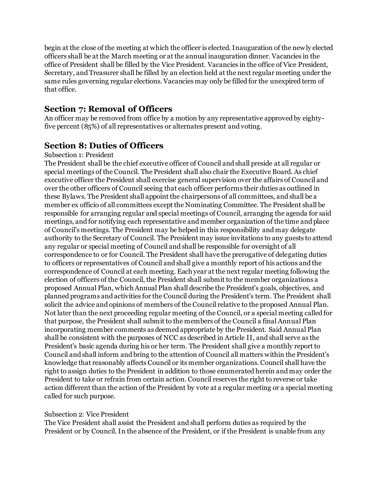begin at the close of the meeting at which the officer is elected. Inauguration of the newly elected officers shall be at the March meeting or at the annual inauguration dinner. Vacancies in the office of President shall be filled by the Vice President. Vacancies in the office of Vice President, Secretary, and Treasurer shall be filled by an election held at the next regular meeting under the same rules governing regular elections. Vacancies may only be filled for the unexpired term of that office.

#### **Section 7: Removal of Officers**

An officer may be removed from office by a motion by any representative approved by eightyfive percent (85%) of all representatives or alternates present and voting.

#### **Section 8: Duties of Officers**

#### Subsection 1: President

The President shall be the chief executive officer of Council and shall preside at all regular or special meetings of the Council. The President shall also chair the Executive Board. As chief executive officer the President shall exercise general supervision over the affairs of Council and over the other officers of Council seeing that each officer performs their duties as outlined in these Bylaws. The President shall appoint the chairpersons of all committees, and shall be a member ex officio of all committees except the Nominating Committee. The President shall be responsible for arranging regular and special meetings of Council, arranging the agenda for said meetings, and for notifying each representative and member organization of the time and place of Council's meetings. The President may be helped in this responsibility and may delegate authority to the Secretary of Council. The President may issue invitations to any guests to attend any regular or special meeting of Council and shall be responsible for oversight of all correspondence to or for Council. The President shall have the prerogative of delegating duties to officers or representatives of Council and shall give a monthly report of his actions and the correspondence of Council at each meeting. Each year at the next regular meeting following the election of officers of the Council, the President shall submit to the member organizations a proposed Annual Plan, which Annual Plan shall describe the President's goals, objectives, and planned programs and activities for the Council during the President's term. The President shall solicit the advice and opinions of members of the Council relative to the proposed Annual Plan. Not later than the next proceeding regular meeting of the Council, or a special meeting called for that purpose, the President shall submit to the members of the Council a final Annual Plan incorporating member comments as deemed appropriate by the President. Said Annual Plan shall be consistent with the purposes of NCC as described in Article II, and shall serve as the President's basic agenda during his or her term. The President shall give a monthly report to Council and shall inform and bring to the attention of Council all matters within the President's knowledge that reasonably affects Council or its member organizations. Council shall have the right to assign duties to the President in addition to those enumerated herein and may order the President to take or refrain from certain action. Council reserves the right to reverse or take action different than the action of the President by vote at a regular meeting or a special meeting called for such purpose.

#### Subsection 2: Vice President

The Vice President shall assist the President and shall perform duties as required by the President or by Council. In the absence of the President, or if the President is unable from any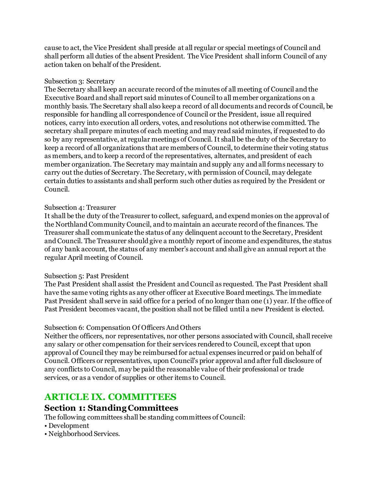cause to act, the Vice President shall preside at all regular or special meetings of Council and shall perform all duties of the absent President. The Vice President shall inform Council of any action taken on behalf of the President.

#### Subsection 3: Secretary

The Secretary shall keep an accurate record of the minutes of all meeting of Council and the Executive Board and shall report said minutes of Council to all member organizations on a monthly basis. The Secretary shall also keep a record of all documents and records of Council, be responsible for handling all correspondence of Council or the President, issue all required notices, carry into execution all orders, votes, and resolutions not otherwise committed. The secretary shall prepare minutes of each meeting and may read said minutes, if requested to do so by any representative, at regular meetings of Council. It shall be the duty of the Secretary to keep a record of all organizations that are members of Council, to determine their voting status as members, and to keep a record of the representatives, alternates, and president of each member organization. The Secretary may maintain and supply any and all forms necessary to carry out the duties of Secretary. The Secretary, with permission of Council, may delegate certain duties to assistants and shall perform such other duties as required by the President or Council.

#### Subsection 4: Treasurer

It shall be the duty of the Treasurer to collect, safeguard, and expend monies on the approval of the Northland Community Council, and to maintain an accurate record of the finances. The Treasurer shall communicate the status of any delinquent account to the Secretary, President and Council. The Treasurer should give a monthly report of income and expenditures, the status of any bank account, the status of any member's account and shall give an annual report at the regular April meeting of Council.

#### Subsection 5: Past President

The Past President shall assist the President and Council as requested. The Past President shall have the same voting rights as any other officer at Executive Board meetings. The immediate Past President shall serve in said office for a period of no longer than one (1) year. If the office of Past President becomes vacant, the position shall not be filled until a new President is elected.

#### Subsection 6: Compensation Of Officers And Others

Neither the officers, nor representatives, nor other persons associated with Council, shall receive any salary or other compensation for their services rendered to Council, except that upon approval of Council they may be reimbursed for actual expenses incurred or paid on behalf of Council. Officers or representatives, upon Council's prior approval and after full disclosure of any conflicts to Council, may be paid the reasonable value of their professional or trade services, or as a vendor of supplies or other items to Council.

# **ARTICLE IX. COMMITTEES**

#### **Section 1: Standing Committees**

The following committees shall be standing committees of Council:

- Development
- Neighborhood Services.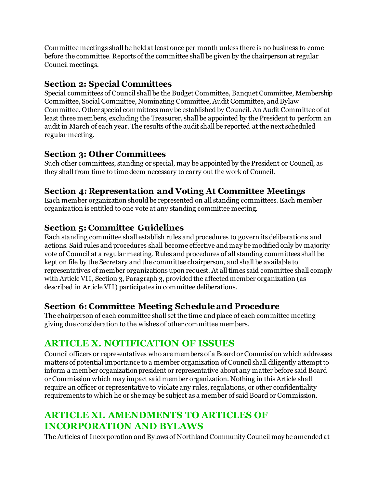Committee meetings shall be held at least once per month unless there is no business to come before the committee. Reports of the committee shall be given by the chairperson at regular Council meetings.

## **Section 2: Special Committees**

Special committees of Council shall be the Budget Committee, Banquet Committee, Membership Committee, Social Committee, Nominating Committee, Audit Committee, and Bylaw Committee. Other special committees may be established by Council. An Audit Committee of at least three members, excluding the Treasurer, shall be appointed by the President to perform an audit in March of each year. The results of the audit shall be reported at the next scheduled regular meeting.

#### **Section 3: Other Committees**

Such other committees, standing or special, may be appointed by the President or Council, as they shall from time to time deem necessary to carry out the work of Council.

## **Section 4: Representation and Voting At Committee Meetings**

Each member organization should be represented on all standing committees. Each member organization is entitled to one vote at any standing committee meeting.

# **Section 5: Committee Guidelines**

Each standing committee shall establish rules and procedures to govern its deliberations and actions. Said rules and procedures shall become effective and may be modified only by majority vote of Council at a regular meeting. Rules and procedures of all standing committees shall be kept on file by the Secretary and the committee chairperson, and shall be available to representatives of member organizations upon request. At all times said committee shall comply with Article VII, Section 3, Paragraph 3, provided the affected member organization (as described in Article VII) participates in committee deliberations.

### **Section 6: Committee Meeting Schedule and Procedure**

The chairperson of each committee shall set the time and place of each committee meeting giving due consideration to the wishes of other committee members.

# **ARTICLE X. NOTIFICATION OF ISSUES**

Council officers or representatives who are members of a Board or Commission which addresses matters of potential importance to a member organization of Council shall diligently attempt to inform a member organization president or representative about any matter before said Board or Commission which may impact said member organization. Nothing in this Article shall require an officer or representative to violate any rules, regulations, or other confidentiality requirements to which he or she may be subject as a member of said Board or Commission.

# **ARTICLE XI. AMENDMENTS TO ARTICLES OF INCORPORATION AND BYLAWS**

The Articles of Incorporation and Bylaws of Northland Community Council may be amended at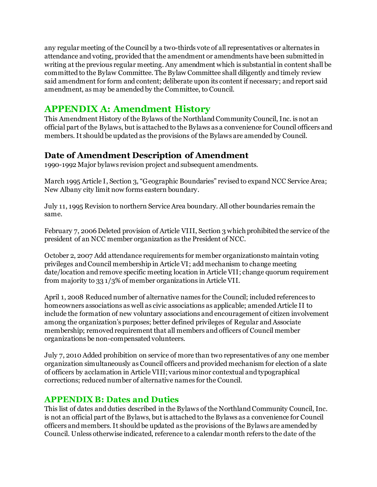any regular meeting of the Council by a two-thirds vote of all representatives or alternates in attendance and voting, provided that the amendment or amendments have been submitted in writing at the previous regular meeting. Any amendment which is substantial in content shall be committed to the Bylaw Committee. The Bylaw Committee shall diligently and timely review said amendment for form and content; deliberate upon its content if necessary; and report said amendment, as may be amended by the Committee, to Council.

# **APPENDIX A: Amendment History**

This Amendment History of the Bylaws of the Northland Community Council, Inc. is not an official part of the Bylaws, but is attached to the Bylaws as a convenience for Council officers and members. It should be updated as the provisions of the Bylaws are amended by Council.

### **Date of Amendment Description of Amendment**

1990-1992 Major bylaws revision project and subsequent amendments.

March 1995 Article I, Section 3, "Geographic Boundaries" revised to expand NCC Service Area; New Albany city limit now forms eastern boundary.

July 11, 1995 Revision to northern Service Area boundary. All other boundaries remain the same.

February 7, 2006 Deleted provision of Article VIII, Section 3 which prohibited the service of the president of an NCC member organization as the President of NCC.

October 2, 2007 Add attendance requirements for member organizationsto maintain voting privileges and Council membership in Article VI; add mechanism to change meeting date/location and remove specific meeting location in Article VII; change quorum requirement from majority to 33 1/3% of member organizations in Article VII.

April 1, 2008 Reduced number of alternative names for the Council; included references to homeowners associations as well as civic associations as applicable; amended Article II to include the formation of new voluntary associations and encouragement of citizen involvement among the organization's purposes; better defined privileges of Regular and Associate membership; removed requirement that all members and officers of Council member organizations be non-compensated volunteers.

July 7, 2010 Added prohibition on service of more than two representatives of any one member organization simultaneously as Council officers and provided mechanism for election of a slate of officers by acclamation in Article VIII; various minor contextual and typographical corrections; reduced number of alternative names for the Council.

#### **APPENDIX B: Dates and Duties**

This list of dates and duties described in the Bylaws of the Northland Community Council, Inc. is not an official part of the Bylaws, but is attached to the Bylaws as a convenience for Council officers and members. It should be updated as the provisions of the Bylaws are amended by Council. Unless otherwise indicated, reference to a calendar month refers to the date of the